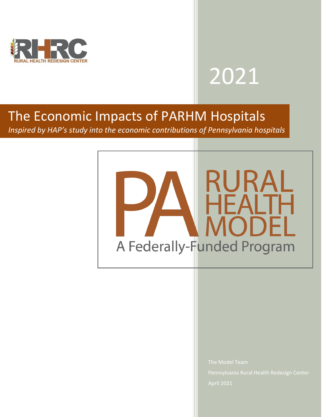

# 2021

# The Economic Impacts of PARHM Hospitals

*Inspired by HAP's study into the economic contributions of Pennsylvania hospitals*



The Model Team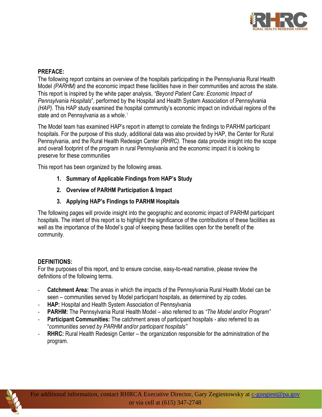

#### **PREFACE:**

The following report contains an overview of the hospitals participating in the Pennsylvania Rural Health Model *(PARHM)* and the economic impact these facilities have in their communities and across the state. This report is inspired by the white paper analysis, *"Beyond Patient Care: Economic Impact of Pennsylvania Hospitals*", performed by the Hospital and Health System Association of Pennsylvania *(HAP).* This HAP study examined the hospital community's economic impact on individual regions of the state and on Pennsylvania as a whole.<sup>1</sup>

The Model team has examined HAP's report in attempt to correlate the findings to PARHM participant hospitals. For the purpose of this study, additional data was also provided by HAP, the Center for Rural Pennsylvania, and the Rural Health Redesign Center *(RHRC)*. These data provide insight into the scope and overall footprint of the program in rural Pennsylvania and the economic impact it is looking to preserve for these communities

This report has been organized by the following areas.

- **1. Summary of Applicable Findings from HAP's Study**
- **2. Overview of PARHM Participation & Impact**
- **3. Applying HAP's Findings to PARHM Hospitals**

The following pages will provide insight into the geographic and economic impact of PARHM participant hospitals. The intent of this report is to highlight the significance of the contributions of these facilities as well as the importance of the Model's goal of keeping these facilities open for the benefit of the community.

#### **DEFINITIONS:**

For the purposes of this report, and to ensure concise, easy-to-read narrative, please review the definitions of the following terms.

- **Catchment Area:** The areas in which the impacts of the Pennsylvania Rural Health Model can be seen – communities served by Model participant hospitals, as determined by zip codes.
- **HAP:** Hospital and Health System Association of Pennsylvania
- **PARHM:** The Pennsylvania Rural Health Model also referred to as *"The Model and/or Program"*
- **Participant Communities:** The catchment areas of participant hospitals also referred to as "*communities served by PARHM and/or participant hospitals"*
- **RHRC:** Rural Health Redesign Center the organization responsible for the administration of the program.

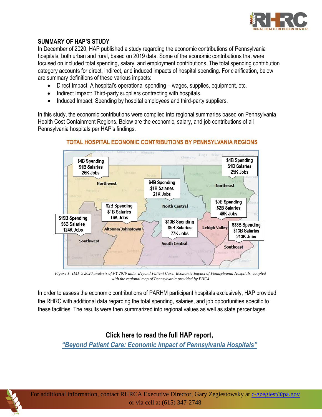

# **SUMMARY OF HAP'S STUDY**

In December of 2020, HAP published a study regarding the economic contributions of Pennsylvania hospitals, both urban and rural, based on 2019 data. Some of the economic contributions that were focused on included total spending, salary, and employment contributions. The total spending contribution category accounts for direct, indirect, and induced impacts of hospital spending. For clarification, below are summary definitions of these various impacts:

- Direct Impact: A hospital's operational spending wages, supplies, equipment, etc.
- Indirect Impact: Third-party suppliers contracting with hospitals.
- Induced Impact: Spending by hospital employees and third-party suppliers.

In this study, the economic contributions were compiled into regional summaries based on Pennsylvania Health Cost Containment Regions. Below are the economic, salary, and job contributions of all Pennsylvania hospitals per HAP's findings.



# TOTAL HOSPITAL ECONOMIC CONTRIBUTIONS BY PENNSYLVANIA REGIONS

*Figure 1: HAP's 2020 analysis of FY 2019 data: Beyond Patient Care: Economic Impact of Pennsylvania Hospitals, coupled with the regional map of Pennsylvania provided by PHC4*

In order to assess the economic contributions of PARHM participant hospitals exclusively, HAP provided the RHRC with additional data regarding the total spending, salaries, and job opportunities specific to these facilities. The results were then summarized into regional values as well as state percentages.

# **Click here to read the full HAP report,**

*"[Beyond Patient Care: Economic Impact of Pennsylvania Hospitals](https://www.haponline.org/About-PA-Hospitals/Economic-Impact)"*



For additional information, contact RHRCA Executive Director, Gary Zegiestowsky at [c-gzegiest@pa.gov](mailto:c-gzegiest@pa.gov) or via cell at (615) 347-2748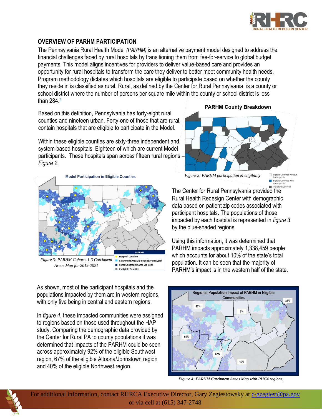

## **OVERVIEW OF PARHM PARTICIPATION**

The Pennsylvania Rural Health Model *(PARHM)* is an alternative payment model designed to address the financial challenges faced by rural hospitals by transitioning them from fee-for-service to global budget payments. This model aligns incentives for providers to deliver value-based care and provides an opportunity for rural hospitals to transform the care they deliver to better meet community health needs. Program methodology dictates which hospitals are eligible to participate based on whether the county they reside in is classified as rural. Rural, as defined by the Center for Rural Pennsylvania, is a county or school district where the number of persons per square mile within the county or school district is less than 284.<sup>2</sup>

Based on this definition, Pennsylvania has forty-eight rural counties and nineteen urban. Forty-one of those that are rural, contain hospitals that are eligible to participate in the Model.

Within these eligible counties are sixty-three independent and system-based hospitals. Eighteen of which are current Model participants. These hospitals span across fifteen rural regions – *Figure 2.*



As shown, most of the participant hospitals and the populations impacted by them are in western regions, with only five being in central and eastern regions.

In *figure 4*, these impacted communities were assigned to regions based on those used throughout the HAP study. Comparing the demographic data provided by the Center for Rural PA to county populations it was determined that impacts of the PARHM could be seen across approximately 92% of the eligible Southwest region, 67% of the eligible Altoona/Johnstown region and 40% of the eligible Northwest region.

**PARHM County Breakdown** 



*Figure 2: PARHM participation & eligibility*

Eligible Countil<br>Participants Eligible Counties with<br>Participants

The Center for Rural Pennsylvania provided the Rural Health Redesign Center with demographic data based on patient zip codes associated with participant hospitals. The populations of those impacted by each hospital is represented in *figure 3* by the blue-shaded regions.

Using this information, it was determined that PARHM impacts approximately 1,338,459 people which accounts for about 10% of the state's total population. It can be seen that the majority of PARHM's impact is in the western half of the state.



*Figure 4: PARHM Catchment Areas Map with PHC4 regions,* 



For additional information, contact RHRCA Executive Director, Gary Zegiestowsky at [c-gzegiest@pa.gov](mailto:c-gzegiest@pa.gov) or via cell at (615) 347-2748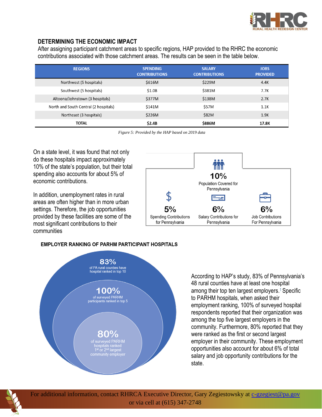

## **DETERMINING THE ECONOMIC IMPACT**

After assigning participant catchment areas to specific regions, HAP provided to the RHRC the economic contributions associated with those catchment areas. The results can be seen in the table below.

| <b>REGIONS</b>                        | <b>SPENDING</b><br><b>CONTRIBUTIONS</b> | <b>SALARY</b><br><b>CONTRIBUTIONS</b> | <b>JOBS</b><br><b>PROVIDED</b> |
|---------------------------------------|-----------------------------------------|---------------------------------------|--------------------------------|
| Northwest (5 hospitals)               | \$616M                                  | \$229M                                | 4.4K                           |
| Southwest (5 hospitals)               | \$1.0B                                  | \$381M                                | 7.7K                           |
| Altoona/Johnstown (3 hospitals)       | \$377M                                  | \$138M                                | 2.7K                           |
| North and South Central (2 hospitals) | \$141M                                  | \$57M                                 | 1.1K                           |
| Northeast (3 hospitals)               | \$226M                                  | \$82M                                 | 1.9K                           |
| <b>TOTAL</b>                          | \$2.4B                                  | \$886M                                | 17.8K                          |

*Figure 5: Provided by the HAP based on 2019 data*

On a state level, it was found that not only do these hospitals impact approximately 10% of the state's population, but their total spending also accounts for about 5% of economic contributions.

In addition, unemployment rates in rural areas are often higher than in more urban settings. Therefore, the job opportunities provided by these facilities are some of the most significant contributions to their communities



#### **EMPLOYER RANKING OF PARHM PARTICIPANT HOSPITALS**



According to HAP's study, 83% of Pennsylvania's 48 rural counties have at least one hospital among their top ten largest employers.<sup>1</sup> Specific to PARHM hospitals, when asked their employment ranking, 100% of surveyed hospital respondents reported that their organization was among the top five largest employers in the community. Furthermore, 80% reported that they were ranked as the first or second largest employer in their community. These employment opportunities also account for about 6% of total salary and job opportunity contributions for the state.



For additional information, contact RHRCA Executive Director, Gary Zegiestowsky at [c-gzegiest@pa.gov](mailto:c-gzegiest@pa.gov) or via cell at (615) 347-2748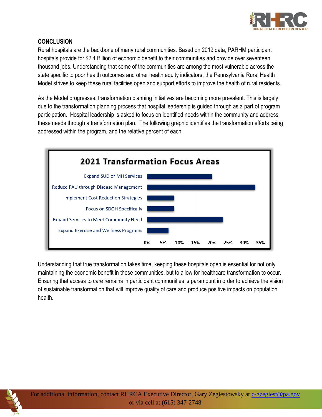

# **CONCLUSION**

Rural hospitals are the backbone of many rural communities. Based on 2019 data, PARHM participant hospitals provide for \$2.4 Billion of economic benefit to their communities and provide over seventeen thousand jobs. Understanding that some of the communities are among the most vulnerable across the state specific to poor health outcomes and other health equity indicators, the Pennsylvania Rural Health Model strives to keep these rural facilities open and support efforts to improve the health of rural residents.

As the Model progresses, transformation planning initiatives are becoming more prevalent. This is largely due to the transformation planning process that hospital leadership is guided through as a part of program participation. Hospital leadership is asked to focus on identified needs within the community and address these needs through a transformation plan. The following graphic identifies the transformation efforts being addressed within the program, and the relative percent of each.



Understanding that true transformation takes time, keeping these hospitals open is essential for not only maintaining the economic benefit in these communities, but to allow for healthcare transformation to occur. Ensuring that access to care remains in participant communities is paramount in order to achieve the vision of sustainable transformation that will improve quality of care and produce positive impacts on population health.